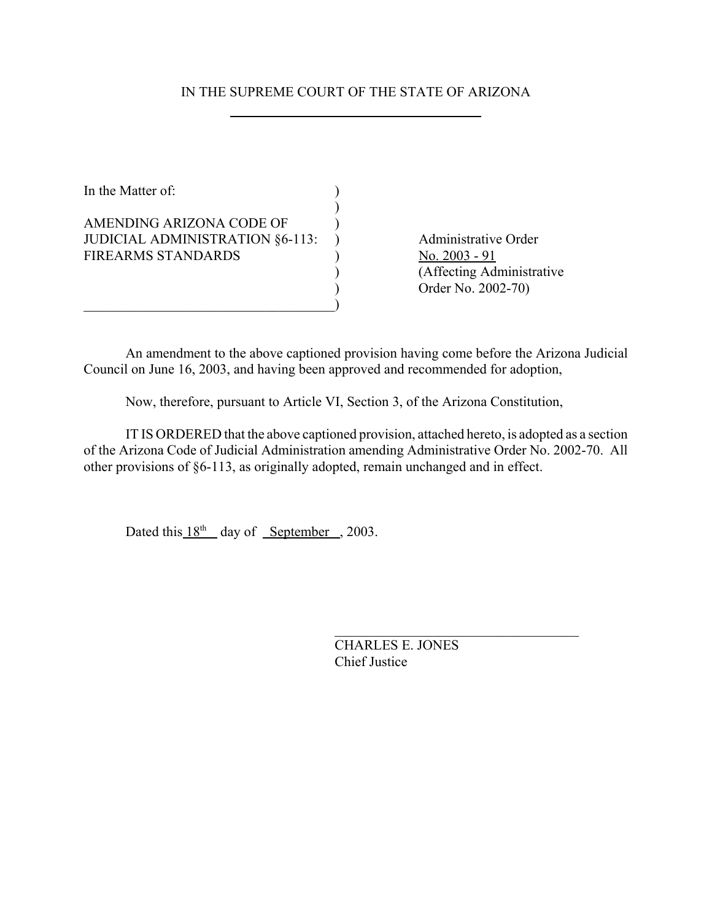# IN THE SUPREME COURT OF THE STATE OF ARIZONA

In the Matter of:  $\qquad \qquad$  )  $\mathcal{L}$ AMENDING ARIZONA CODE OF  $\qquad$  ) JUDICIAL ADMINISTRATION §6-113: ) Administrative Order FIREARMS STANDARDS (No. 2003 - 91  $\qquad \qquad \qquad \qquad \qquad \qquad \qquad$ 

) (Affecting Administrative ) Order No. 2002-70)

An amendment to the above captioned provision having come before the Arizona Judicial Council on June 16, 2003, and having been approved and recommended for adoption,

Now, therefore, pursuant to Article VI, Section 3, of the Arizona Constitution,

IT IS ORDERED that the above captioned provision, attached hereto, is adopted as a section of the Arizona Code of Judicial Administration amending Administrative Order No. 2002-70. All other provisions of §6-113, as originally adopted, remain unchanged and in effect.

Dated this  $18^{th}$  day of September , 2003.

CHARLES E. JONES Chief Justice

 $\mathcal{L}_\text{max}$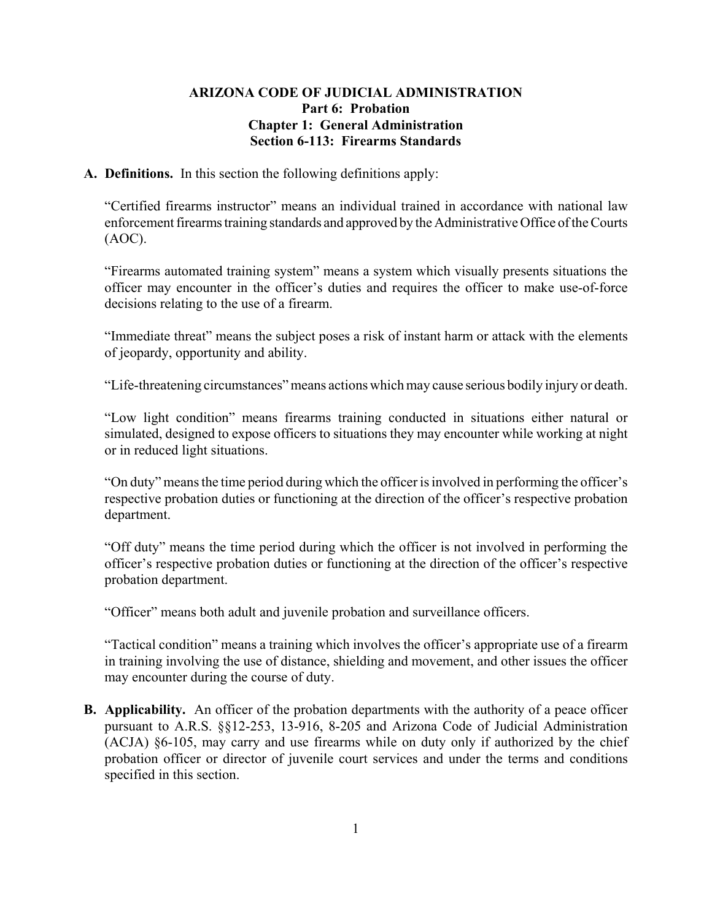## **ARIZONA CODE OF JUDICIAL ADMINISTRATION Part 6: Probation Chapter 1: General Administration Section 6-113: Firearms Standards**

#### **A. Definitions.** In this section the following definitions apply:

"Certified firearms instructor" means an individual trained in accordance with national law enforcement firearms training standards and approved by the Administrative Office of the Courts (AOC).

"Firearms automated training system" means a system which visually presents situations the officer may encounter in the officer's duties and requires the officer to make use-of-force decisions relating to the use of a firearm.

"Immediate threat" means the subject poses a risk of instant harm or attack with the elements of jeopardy, opportunity and ability.

"Life-threatening circumstances" means actions which may cause serious bodily injury or death.

"Low light condition" means firearms training conducted in situations either natural or simulated, designed to expose officers to situations they may encounter while working at night or in reduced light situations.

"On duty" means the time period during which the officer is involved in performing the officer's respective probation duties or functioning at the direction of the officer's respective probation department.

"Off duty" means the time period during which the officer is not involved in performing the officer's respective probation duties or functioning at the direction of the officer's respective probation department.

"Officer" means both adult and juvenile probation and surveillance officers.

"Tactical condition" means a training which involves the officer's appropriate use of a firearm in training involving the use of distance, shielding and movement, and other issues the officer may encounter during the course of duty.

**B.** Applicability. An officer of the probation departments with the authority of a peace officer pursuant to A.R.S. §§12-253, 13-916, 8-205 and Arizona Code of Judicial Administration (ACJA) §6-105, may carry and use firearms while on duty only if authorized by the chief probation officer or director of juvenile court services and under the terms and conditions specified in this section.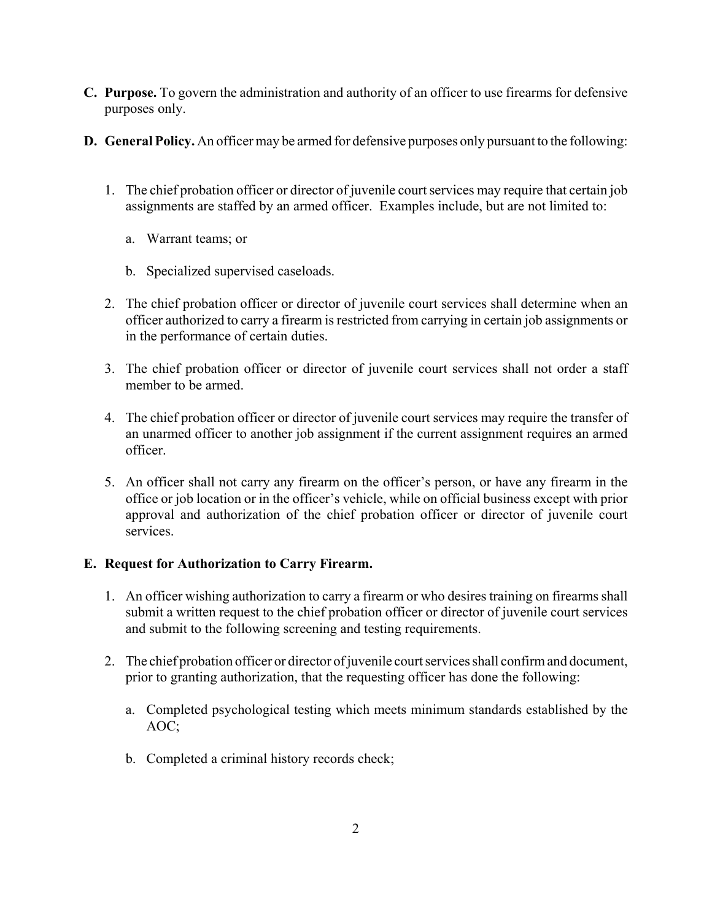- **C. Purpose.** To govern the administration and authority of an officer to use firearms for defensive purposes only.
- **D. General Policy.** An officer may be armed for defensive purposes only pursuant to the following:
	- 1. The chief probation officer or director of juvenile court services may require that certain job assignments are staffed by an armed officer. Examples include, but are not limited to:
		- a. Warrant teams; or
		- b. Specialized supervised caseloads.
	- 2. The chief probation officer or director of juvenile court services shall determine when an officer authorized to carry a firearm is restricted from carrying in certain job assignments or in the performance of certain duties.
	- 3. The chief probation officer or director of juvenile court services shall not order a staff member to be armed.
	- 4. The chief probation officer or director of juvenile court services may require the transfer of an unarmed officer to another job assignment if the current assignment requires an armed officer.
	- 5. An officer shall not carry any firearm on the officer's person, or have any firearm in the office or job location or in the officer's vehicle, while on official business except with prior approval and authorization of the chief probation officer or director of juvenile court services.

# **E. Request for Authorization to Carry Firearm.**

- 1. An officer wishing authorization to carry a firearm or who desires training on firearms shall submit a written request to the chief probation officer or director of juvenile court services and submit to the following screening and testing requirements.
- 2. The chief probation officer or director of juvenile court services shall confirm and document, prior to granting authorization, that the requesting officer has done the following:
	- a. Completed psychological testing which meets minimum standards established by the AOC;
	- b. Completed a criminal history records check;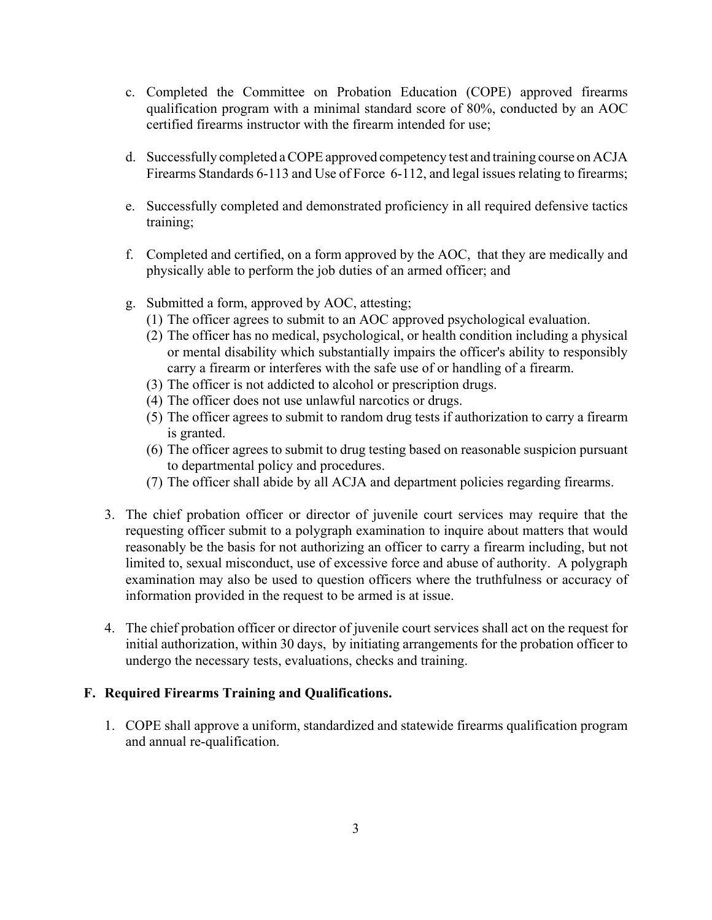- c. Completed the Committee on Probation Education (COPE) approved firearms qualification program with a minimal standard score of 80%, conducted by an AOC certified firearms instructor with the firearm intended for use;
- d. Successfully completed a COPE approved competency test and training course on ACJA Firearms Standards 6-113 and Use of Force 6-112, and legal issues relating to firearms;
- e. Successfully completed and demonstrated proficiency in all required defensive tactics training;
- f. Completed and certified, on a form approved by the AOC, that they are medically and physically able to perform the job duties of an armed officer; and
- g. Submitted a form, approved by AOC, attesting;
	- (1) The officer agrees to submit to an AOC approved psychological evaluation.
	- (2) The officer has no medical, psychological, or health condition including a physical or mental disability which substantially impairs the officer's ability to responsibly carry a firearm or interferes with the safe use of or handling of a firearm.
	- (3) The officer is not addicted to alcohol or prescription drugs.
	- (4) The officer does not use unlawful narcotics or drugs.
	- (5) The officer agrees to submit to random drug tests if authorization to carry a firearm is granted.
	- (6) The officer agrees to submit to drug testing based on reasonable suspicion pursuant to departmental policy and procedures.
	- (7) The officer shall abide by all ACJA and department policies regarding firearms.
- 3. The chief probation officer or director of juvenile court services may require that the requesting officer submit to a polygraph examination to inquire about matters that would reasonably be the basis for not authorizing an officer to carry a firearm including, but not limited to, sexual misconduct, use of excessive force and abuse of authority. A polygraph examination may also be used to question officers where the truthfulness or accuracy of information provided in the request to be armed is at issue.
- 4. The chief probation officer or director of juvenile court services shall act on the request for initial authorization, within 30 days, by initiating arrangements for the probation officer to undergo the necessary tests, evaluations, checks and training.

## **F. Required Firearms Training and Qualifications.**

1. COPE shall approve a uniform, standardized and statewide firearms qualification program and annual re-qualification.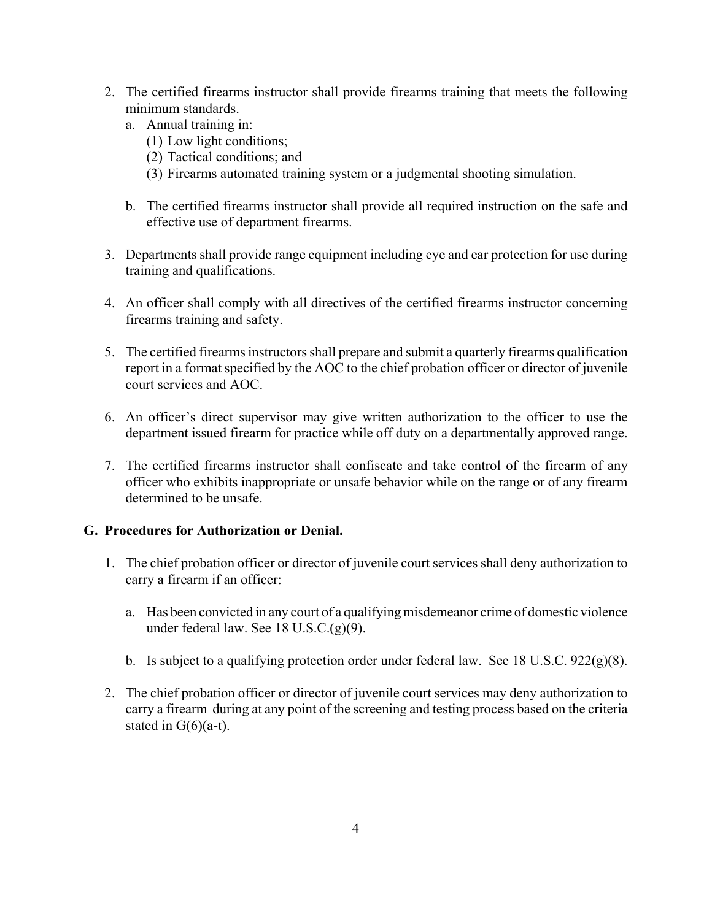- 2. The certified firearms instructor shall provide firearms training that meets the following minimum standards.
	- a. Annual training in:
		- (1) Low light conditions;
		- (2) Tactical conditions; and
		- (3) Firearms automated training system or a judgmental shooting simulation.
	- b. The certified firearms instructor shall provide all required instruction on the safe and effective use of department firearms.
- 3. Departments shall provide range equipment including eye and ear protection for use during training and qualifications.
- 4. An officer shall comply with all directives of the certified firearms instructor concerning firearms training and safety.
- 5. The certified firearms instructors shall prepare and submit a quarterly firearms qualification report in a format specified by the AOC to the chief probation officer or director of juvenile court services and AOC.
- 6. An officer's direct supervisor may give written authorization to the officer to use the department issued firearm for practice while off duty on a departmentally approved range.
- 7. The certified firearms instructor shall confiscate and take control of the firearm of any officer who exhibits inappropriate or unsafe behavior while on the range or of any firearm determined to be unsafe.

# **G. Procedures for Authorization or Denial.**

- 1. The chief probation officer or director of juvenile court services shall deny authorization to carry a firearm if an officer:
	- a. Has been convicted in any court of a qualifying misdemeanor crime of domestic violence under federal law. See 18 U.S.C.(g)(9).
	- b. Is subject to a qualifying protection order under federal law. See 18 U.S.C. 922(g)(8).
- 2. The chief probation officer or director of juvenile court services may deny authorization to carry a firearm during at any point of the screening and testing process based on the criteria stated in  $G(6)(a-t)$ .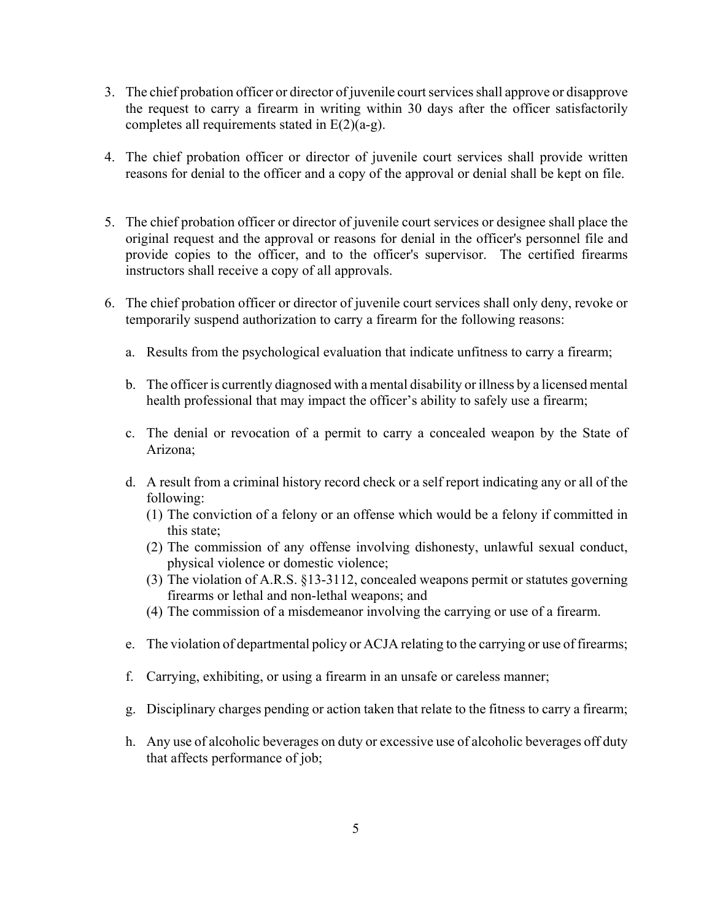- 3. The chief probation officer or director of juvenile court services shall approve or disapprove the request to carry a firearm in writing within 30 days after the officer satisfactorily completes all requirements stated in E(2)(a-g).
- 4. The chief probation officer or director of juvenile court services shall provide written reasons for denial to the officer and a copy of the approval or denial shall be kept on file.
- 5. The chief probation officer or director of juvenile court services or designee shall place the original request and the approval or reasons for denial in the officer's personnel file and provide copies to the officer, and to the officer's supervisor. The certified firearms instructors shall receive a copy of all approvals.
- 6. The chief probation officer or director of juvenile court services shall only deny, revoke or temporarily suspend authorization to carry a firearm for the following reasons:
	- a. Results from the psychological evaluation that indicate unfitness to carry a firearm;
	- b. The officer is currently diagnosed with a mental disability or illness by a licensed mental health professional that may impact the officer's ability to safely use a firearm;
	- c. The denial or revocation of a permit to carry a concealed weapon by the State of Arizona;
	- d. A result from a criminal history record check or a self report indicating any or all of the following:
		- (1) The conviction of a felony or an offense which would be a felony if committed in this state;
		- (2) The commission of any offense involving dishonesty, unlawful sexual conduct, physical violence or domestic violence;
		- (3) The violation of A.R.S. §13-3112, concealed weapons permit or statutes governing firearms or lethal and non-lethal weapons; and
		- (4) The commission of a misdemeanor involving the carrying or use of a firearm.
	- e. The violation of departmental policy or ACJA relating to the carrying or use of firearms;
	- f. Carrying, exhibiting, or using a firearm in an unsafe or careless manner;
	- g. Disciplinary charges pending or action taken that relate to the fitness to carry a firearm;
	- h. Any use of alcoholic beverages on duty or excessive use of alcoholic beverages off duty that affects performance of job;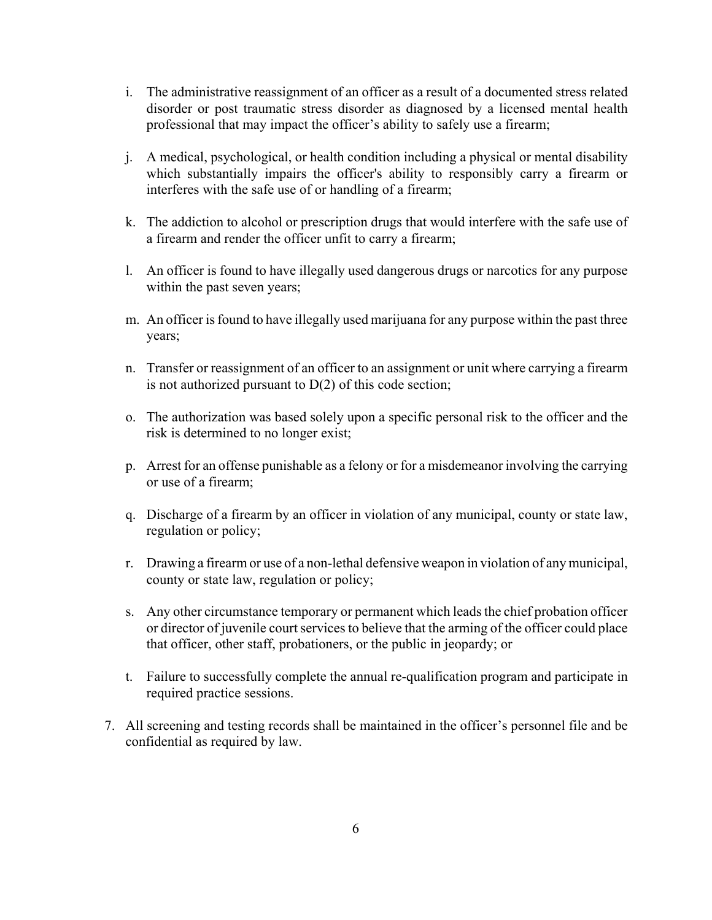- i. The administrative reassignment of an officer as a result of a documented stress related disorder or post traumatic stress disorder as diagnosed by a licensed mental health professional that may impact the officer's ability to safely use a firearm;
- j. A medical, psychological, or health condition including a physical or mental disability which substantially impairs the officer's ability to responsibly carry a firearm or interferes with the safe use of or handling of a firearm;
- k. The addiction to alcohol or prescription drugs that would interfere with the safe use of a firearm and render the officer unfit to carry a firearm;
- l. An officer is found to have illegally used dangerous drugs or narcotics for any purpose within the past seven years;
- m. An officer is found to have illegally used marijuana for any purpose within the past three years;
- n. Transfer or reassignment of an officer to an assignment or unit where carrying a firearm is not authorized pursuant to D(2) of this code section;
- o. The authorization was based solely upon a specific personal risk to the officer and the risk is determined to no longer exist;
- p. Arrest for an offense punishable as a felony or for a misdemeanor involving the carrying or use of a firearm;
- q. Discharge of a firearm by an officer in violation of any municipal, county or state law, regulation or policy;
- r. Drawing a firearm or use of a non-lethal defensive weapon in violation of any municipal, county or state law, regulation or policy;
- s. Any other circumstance temporary or permanent which leads the chief probation officer or director of juvenile court services to believe that the arming of the officer could place that officer, other staff, probationers, or the public in jeopardy; or
- t. Failure to successfully complete the annual re-qualification program and participate in required practice sessions.
- 7. All screening and testing records shall be maintained in the officer's personnel file and be confidential as required by law.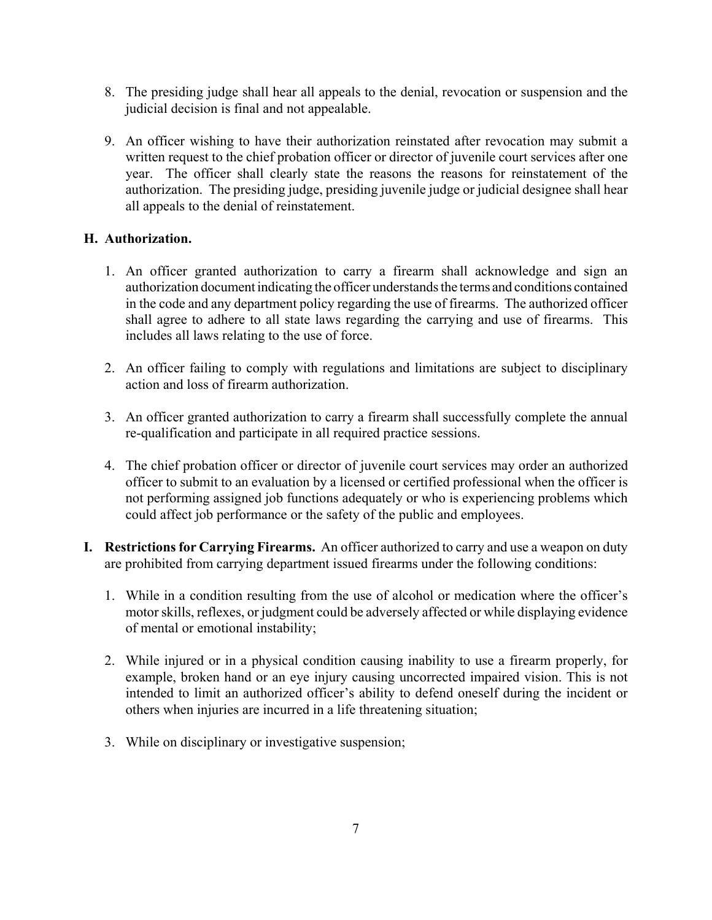- 8. The presiding judge shall hear all appeals to the denial, revocation or suspension and the judicial decision is final and not appealable.
- 9. An officer wishing to have their authorization reinstated after revocation may submit a written request to the chief probation officer or director of juvenile court services after one year. The officer shall clearly state the reasons the reasons for reinstatement of the authorization. The presiding judge, presiding juvenile judge or judicial designee shall hear all appeals to the denial of reinstatement.

# **H. Authorization.**

- 1. An officer granted authorization to carry a firearm shall acknowledge and sign an authorization document indicating the officer understands the terms and conditions contained in the code and any department policy regarding the use of firearms. The authorized officer shall agree to adhere to all state laws regarding the carrying and use of firearms. This includes all laws relating to the use of force.
- 2. An officer failing to comply with regulations and limitations are subject to disciplinary action and loss of firearm authorization.
- 3. An officer granted authorization to carry a firearm shall successfully complete the annual re-qualification and participate in all required practice sessions.
- 4. The chief probation officer or director of juvenile court services may order an authorized officer to submit to an evaluation by a licensed or certified professional when the officer is not performing assigned job functions adequately or who is experiencing problems which could affect job performance or the safety of the public and employees.
- **I. Restrictions for Carrying Firearms.** An officer authorized to carry and use a weapon on duty are prohibited from carrying department issued firearms under the following conditions:
	- 1. While in a condition resulting from the use of alcohol or medication where the officer's motor skills, reflexes, or judgment could be adversely affected or while displaying evidence of mental or emotional instability;
	- 2. While injured or in a physical condition causing inability to use a firearm properly, for example, broken hand or an eye injury causing uncorrected impaired vision. This is not intended to limit an authorized officer's ability to defend oneself during the incident or others when injuries are incurred in a life threatening situation;
	- 3. While on disciplinary or investigative suspension;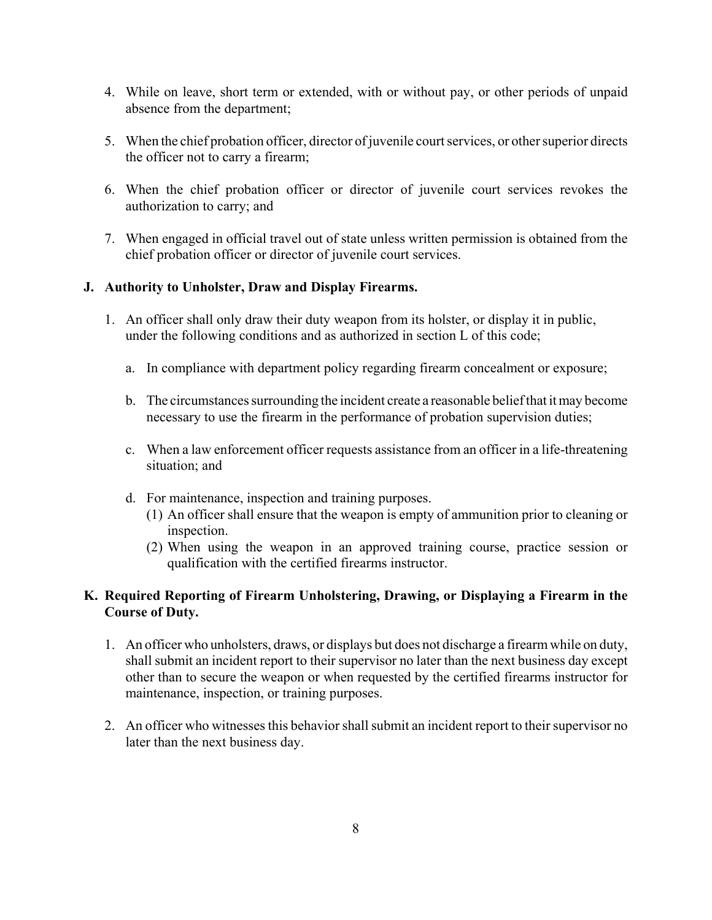- 4. While on leave, short term or extended, with or without pay, or other periods of unpaid absence from the department;
- 5. When the chief probation officer, director of juvenile court services, or other superior directs the officer not to carry a firearm;
- 6. When the chief probation officer or director of juvenile court services revokes the authorization to carry; and
- 7. When engaged in official travel out of state unless written permission is obtained from the chief probation officer or director of juvenile court services.

# **J. Authority to Unholster, Draw and Display Firearms.**

- 1. An officer shall only draw their duty weapon from its holster, or display it in public, under the following conditions and as authorized in section L of this code;
	- a. In compliance with department policy regarding firearm concealment or exposure;
	- b. The circumstances surrounding the incident create a reasonable belief that it may become necessary to use the firearm in the performance of probation supervision duties;
	- c. When a law enforcement officer requests assistance from an officer in a life-threatening situation; and
	- d. For maintenance, inspection and training purposes.
		- (1) An officer shall ensure that the weapon is empty of ammunition prior to cleaning or inspection.
		- (2) When using the weapon in an approved training course, practice session or qualification with the certified firearms instructor.

# **K. Required Reporting of Firearm Unholstering, Drawing, or Displaying a Firearm in the Course of Duty.**

- 1. An officer who unholsters, draws, or displays but does not discharge a firearm while on duty, shall submit an incident report to their supervisor no later than the next business day except other than to secure the weapon or when requested by the certified firearms instructor for maintenance, inspection, or training purposes.
- 2. An officer who witnesses this behavior shall submit an incident report to their supervisor no later than the next business day.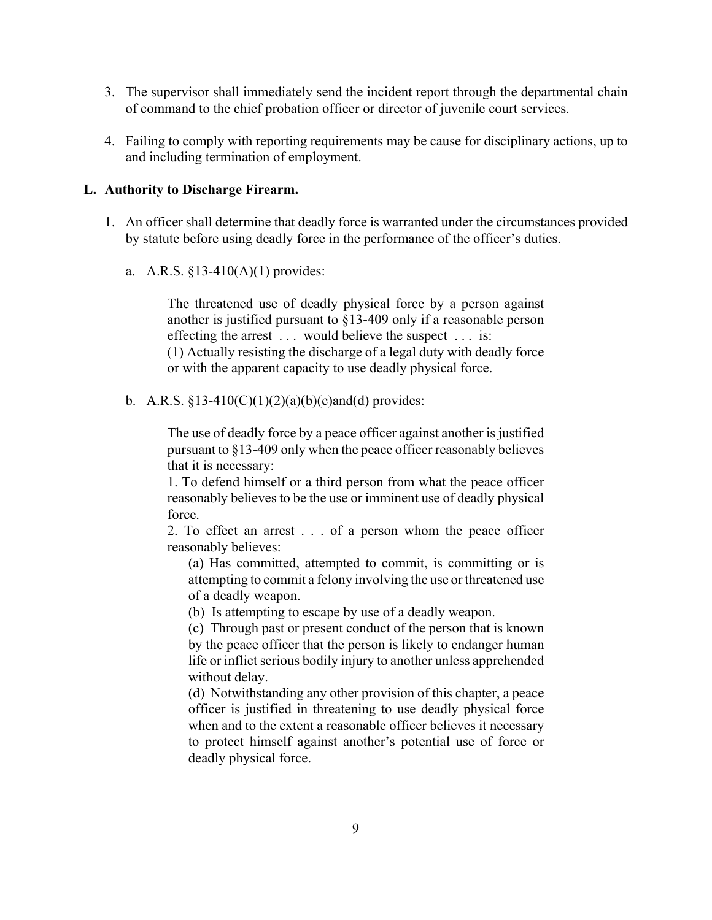- 3. The supervisor shall immediately send the incident report through the departmental chain of command to the chief probation officer or director of juvenile court services.
- 4. Failing to comply with reporting requirements may be cause for disciplinary actions, up to and including termination of employment.

#### **L. Authority to Discharge Firearm.**

- 1. An officer shall determine that deadly force is warranted under the circumstances provided by statute before using deadly force in the performance of the officer's duties.
	- a. A.R.S. §13-410(A)(1) provides:

The threatened use of deadly physical force by a person against another is justified pursuant to §13-409 only if a reasonable person effecting the arrest . . . would believe the suspect . . . is: (1) Actually resisting the discharge of a legal duty with deadly force or with the apparent capacity to use deadly physical force.

b. A.R.S.  $$13-410(C)(1)(2)(a)(b)(c)$  and (d) provides:

The use of deadly force by a peace officer against another is justified pursuant to §13-409 only when the peace officer reasonably believes that it is necessary:

1. To defend himself or a third person from what the peace officer reasonably believes to be the use or imminent use of deadly physical force.

2. To effect an arrest . . . of a person whom the peace officer reasonably believes:

(a) Has committed, attempted to commit, is committing or is attempting to commit a felony involving the use or threatened use of a deadly weapon.

(b) Is attempting to escape by use of a deadly weapon.

(c) Through past or present conduct of the person that is known by the peace officer that the person is likely to endanger human life or inflict serious bodily injury to another unless apprehended without delay.

(d) Notwithstanding any other provision of this chapter, a peace officer is justified in threatening to use deadly physical force when and to the extent a reasonable officer believes it necessary to protect himself against another's potential use of force or deadly physical force.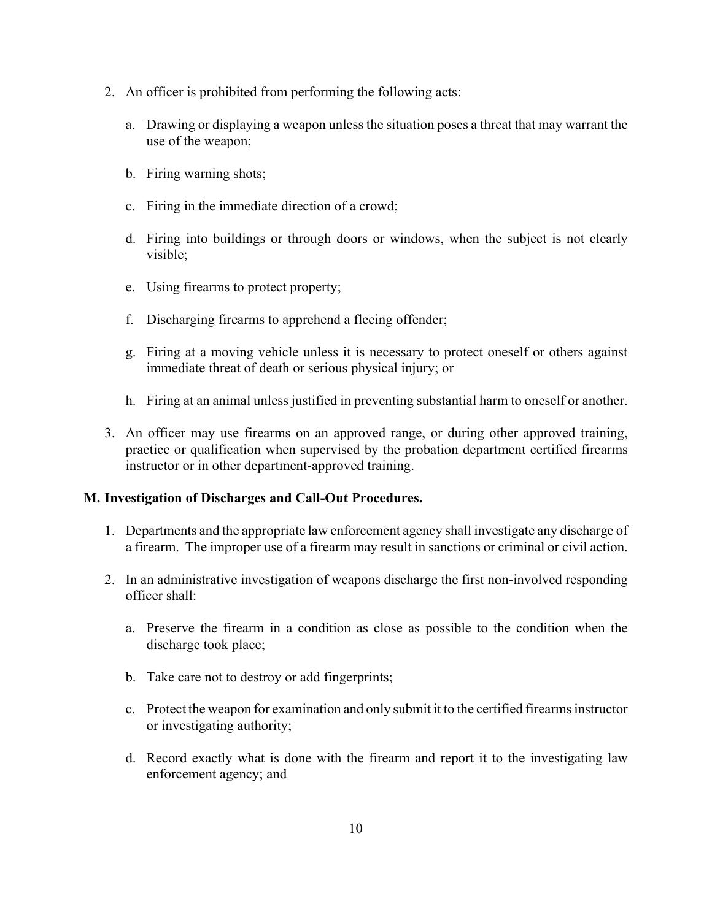- 2. An officer is prohibited from performing the following acts:
	- a. Drawing or displaying a weapon unless the situation poses a threat that may warrant the use of the weapon;
	- b. Firing warning shots;
	- c. Firing in the immediate direction of a crowd;
	- d. Firing into buildings or through doors or windows, when the subject is not clearly visible;
	- e. Using firearms to protect property;
	- f. Discharging firearms to apprehend a fleeing offender;
	- g. Firing at a moving vehicle unless it is necessary to protect oneself or others against immediate threat of death or serious physical injury; or
	- h. Firing at an animal unless justified in preventing substantial harm to oneself or another.
- 3. An officer may use firearms on an approved range, or during other approved training, practice or qualification when supervised by the probation department certified firearms instructor or in other department-approved training.

## **M. Investigation of Discharges and Call-Out Procedures.**

- 1. Departments and the appropriate law enforcement agency shall investigate any discharge of a firearm. The improper use of a firearm may result in sanctions or criminal or civil action.
- 2. In an administrative investigation of weapons discharge the first non-involved responding officer shall:
	- a. Preserve the firearm in a condition as close as possible to the condition when the discharge took place;
	- b. Take care not to destroy or add fingerprints;
	- c. Protect the weapon for examination and only submit it to the certified firearms instructor or investigating authority;
	- d. Record exactly what is done with the firearm and report it to the investigating law enforcement agency; and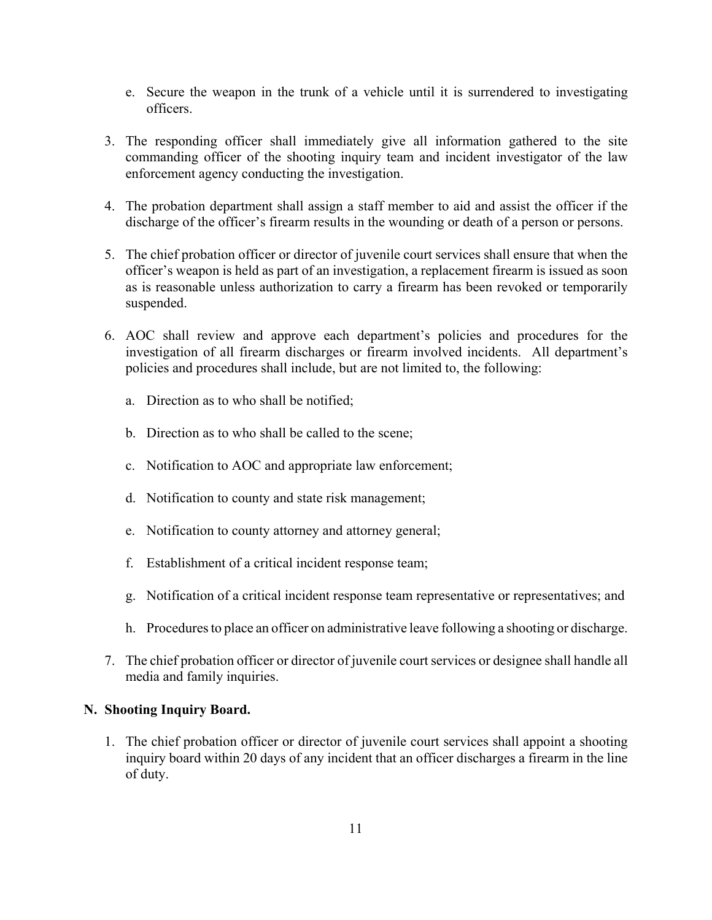- e. Secure the weapon in the trunk of a vehicle until it is surrendered to investigating officers.
- 3. The responding officer shall immediately give all information gathered to the site commanding officer of the shooting inquiry team and incident investigator of the law enforcement agency conducting the investigation.
- 4. The probation department shall assign a staff member to aid and assist the officer if the discharge of the officer's firearm results in the wounding or death of a person or persons.
- 5. The chief probation officer or director of juvenile court services shall ensure that when the officer's weapon is held as part of an investigation, a replacement firearm is issued as soon as is reasonable unless authorization to carry a firearm has been revoked or temporarily suspended.
- 6. AOC shall review and approve each department's policies and procedures for the investigation of all firearm discharges or firearm involved incidents. All department's policies and procedures shall include, but are not limited to, the following:
	- a. Direction as to who shall be notified;
	- b. Direction as to who shall be called to the scene;
	- c. Notification to AOC and appropriate law enforcement;
	- d. Notification to county and state risk management;
	- e. Notification to county attorney and attorney general;
	- f. Establishment of a critical incident response team;
	- g. Notification of a critical incident response team representative or representatives; and
	- h. Procedures to place an officer on administrative leave following a shooting or discharge.
- 7. The chief probation officer or director of juvenile court services or designee shall handle all media and family inquiries.

## **N. Shooting Inquiry Board.**

1. The chief probation officer or director of juvenile court services shall appoint a shooting inquiry board within 20 days of any incident that an officer discharges a firearm in the line of duty.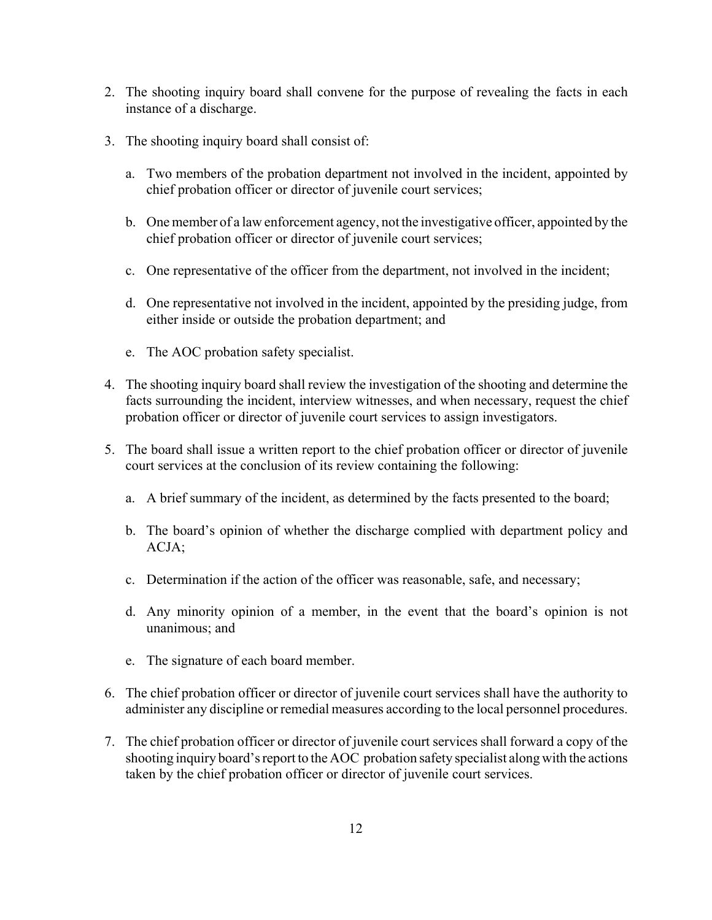- 2. The shooting inquiry board shall convene for the purpose of revealing the facts in each instance of a discharge.
- 3. The shooting inquiry board shall consist of:
	- a. Two members of the probation department not involved in the incident, appointed by chief probation officer or director of juvenile court services;
	- b. One member of a law enforcement agency, not the investigative officer, appointed by the chief probation officer or director of juvenile court services;
	- c. One representative of the officer from the department, not involved in the incident;
	- d. One representative not involved in the incident, appointed by the presiding judge, from either inside or outside the probation department; and
	- e. The AOC probation safety specialist.
- 4. The shooting inquiry board shall review the investigation of the shooting and determine the facts surrounding the incident, interview witnesses, and when necessary, request the chief probation officer or director of juvenile court services to assign investigators.
- 5. The board shall issue a written report to the chief probation officer or director of juvenile court services at the conclusion of its review containing the following:
	- a. A brief summary of the incident, as determined by the facts presented to the board;
	- b. The board's opinion of whether the discharge complied with department policy and ACJA;
	- c. Determination if the action of the officer was reasonable, safe, and necessary;
	- d. Any minority opinion of a member, in the event that the board's opinion is not unanimous; and
	- e. The signature of each board member.
- 6. The chief probation officer or director of juvenile court services shall have the authority to administer any discipline or remedial measures according to the local personnel procedures.
- 7. The chief probation officer or director of juvenile court services shall forward a copy of the shooting inquiry board's report to the AOC probation safety specialist along with the actions taken by the chief probation officer or director of juvenile court services.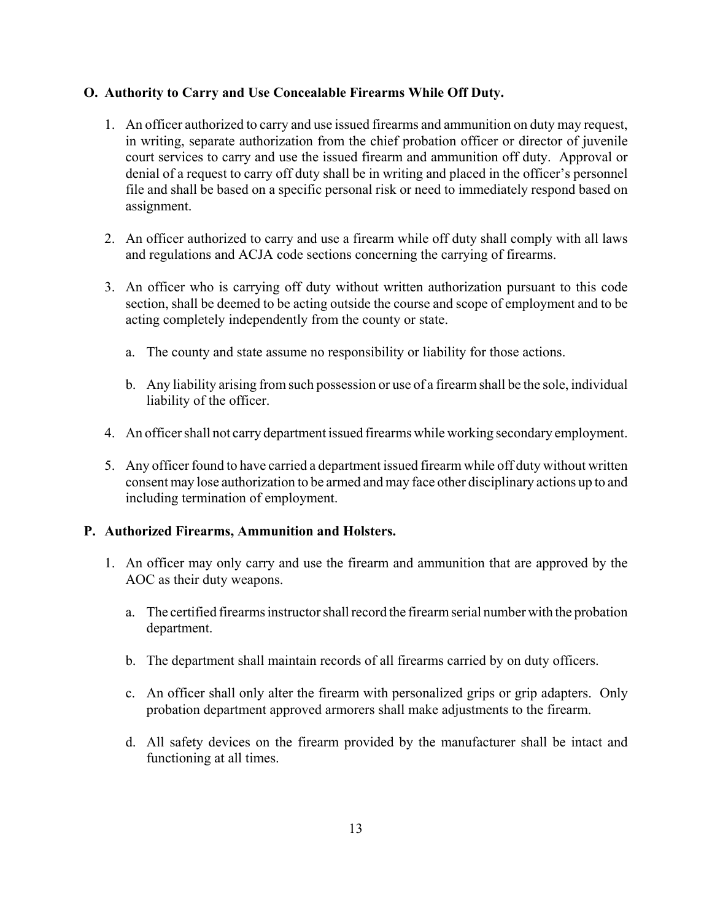# **O. Authority to Carry and Use Concealable Firearms While Off Duty.**

- 1. An officer authorized to carry and use issued firearms and ammunition on duty may request, in writing, separate authorization from the chief probation officer or director of juvenile court services to carry and use the issued firearm and ammunition off duty. Approval or denial of a request to carry off duty shall be in writing and placed in the officer's personnel file and shall be based on a specific personal risk or need to immediately respond based on assignment.
- 2. An officer authorized to carry and use a firearm while off duty shall comply with all laws and regulations and ACJA code sections concerning the carrying of firearms.
- 3. An officer who is carrying off duty without written authorization pursuant to this code section, shall be deemed to be acting outside the course and scope of employment and to be acting completely independently from the county or state.
	- a. The county and state assume no responsibility or liability for those actions.
	- b. Any liability arising from such possession or use of a firearm shall be the sole, individual liability of the officer.
- 4. An officer shall not carry department issued firearms while working secondary employment.
- 5. Any officer found to have carried a department issued firearm while off duty without written consent may lose authorization to be armed and may face other disciplinary actions up to and including termination of employment.

## **P. Authorized Firearms, Ammunition and Holsters.**

- 1. An officer may only carry and use the firearm and ammunition that are approved by the AOC as their duty weapons.
	- a. The certified firearms instructor shall record the firearm serial number with the probation department.
	- b. The department shall maintain records of all firearms carried by on duty officers.
	- c. An officer shall only alter the firearm with personalized grips or grip adapters. Only probation department approved armorers shall make adjustments to the firearm.
	- d. All safety devices on the firearm provided by the manufacturer shall be intact and functioning at all times.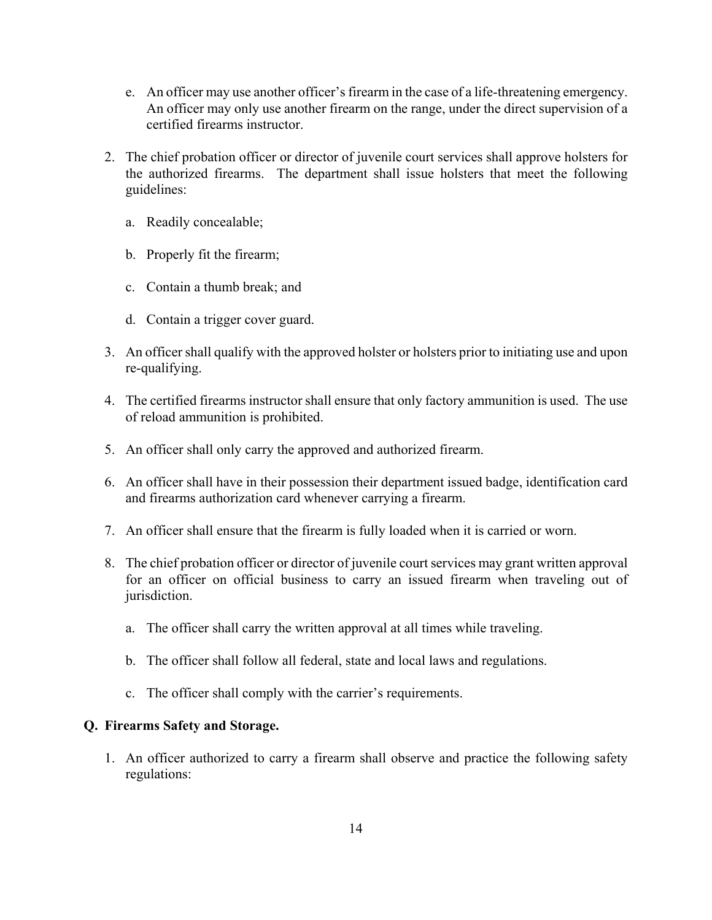- e. An officer may use another officer's firearm in the case of a life-threatening emergency. An officer may only use another firearm on the range, under the direct supervision of a certified firearms instructor.
- 2. The chief probation officer or director of juvenile court services shall approve holsters for the authorized firearms. The department shall issue holsters that meet the following guidelines:
	- a. Readily concealable;
	- b. Properly fit the firearm;
	- c. Contain a thumb break; and
	- d. Contain a trigger cover guard.
- 3. An officer shall qualify with the approved holster or holsters prior to initiating use and upon re-qualifying.
- 4. The certified firearms instructor shall ensure that only factory ammunition is used. The use of reload ammunition is prohibited.
- 5. An officer shall only carry the approved and authorized firearm.
- 6. An officer shall have in their possession their department issued badge, identification card and firearms authorization card whenever carrying a firearm.
- 7. An officer shall ensure that the firearm is fully loaded when it is carried or worn.
- 8. The chief probation officer or director of juvenile court services may grant written approval for an officer on official business to carry an issued firearm when traveling out of jurisdiction.
	- a. The officer shall carry the written approval at all times while traveling.
	- b. The officer shall follow all federal, state and local laws and regulations.
	- c. The officer shall comply with the carrier's requirements.

## **Q. Firearms Safety and Storage.**

1. An officer authorized to carry a firearm shall observe and practice the following safety regulations: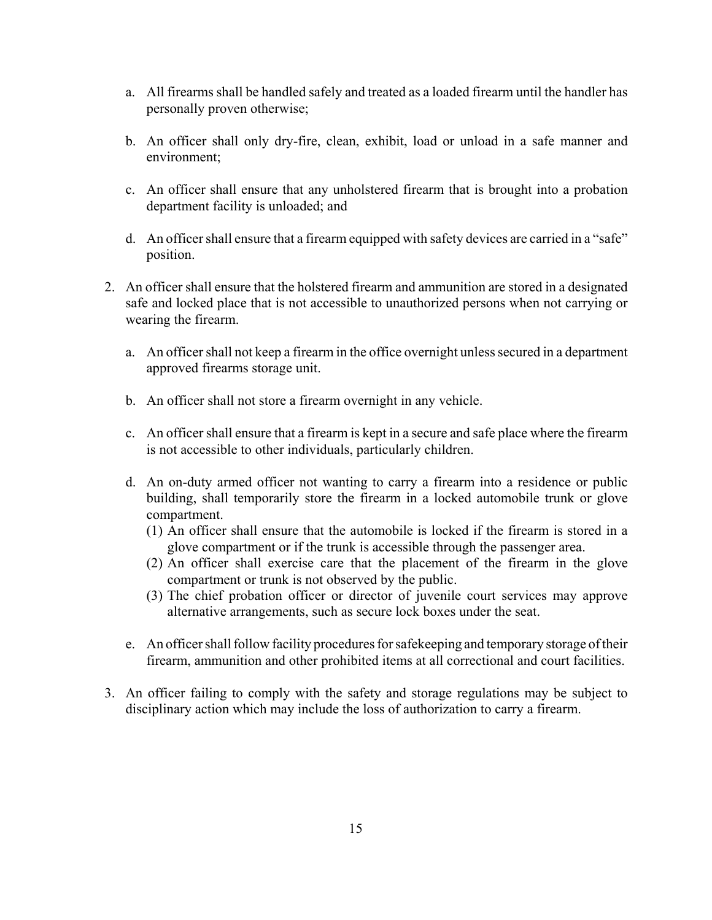- a. All firearms shall be handled safely and treated as a loaded firearm until the handler has personally proven otherwise;
- b. An officer shall only dry-fire, clean, exhibit, load or unload in a safe manner and environment;
- c. An officer shall ensure that any unholstered firearm that is brought into a probation department facility is unloaded; and
- d. An officer shall ensure that a firearm equipped with safety devices are carried in a "safe" position.
- 2. An officer shall ensure that the holstered firearm and ammunition are stored in a designated safe and locked place that is not accessible to unauthorized persons when not carrying or wearing the firearm.
	- a. An officer shall not keep a firearm in the office overnight unless secured in a department approved firearms storage unit.
	- b. An officer shall not store a firearm overnight in any vehicle.
	- c. An officer shall ensure that a firearm is kept in a secure and safe place where the firearm is not accessible to other individuals, particularly children.
	- d. An on-duty armed officer not wanting to carry a firearm into a residence or public building, shall temporarily store the firearm in a locked automobile trunk or glove compartment.
		- (1) An officer shall ensure that the automobile is locked if the firearm is stored in a glove compartment or if the trunk is accessible through the passenger area.
		- (2) An officer shall exercise care that the placement of the firearm in the glove compartment or trunk is not observed by the public.
		- (3) The chief probation officer or director of juvenile court services may approve alternative arrangements, such as secure lock boxes under the seat.
	- e. An officer shall follow facility procedures for safekeeping and temporary storage of their firearm, ammunition and other prohibited items at all correctional and court facilities.
- 3. An officer failing to comply with the safety and storage regulations may be subject to disciplinary action which may include the loss of authorization to carry a firearm.